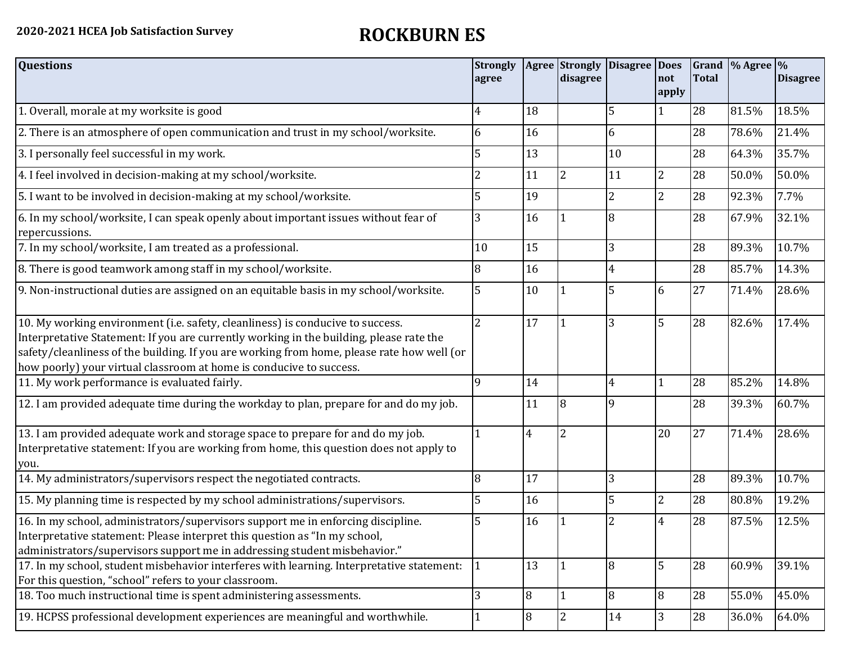| <b>Questions</b>                                                                                                                                                                                                                                                                                                                               | <b>Strongly</b><br>agree |                | Agree Strongly<br>disagree | Disagree Does  | not<br>apply   | <b>Total</b> | Grand \% Agree \% | <b>Disagree</b> |
|------------------------------------------------------------------------------------------------------------------------------------------------------------------------------------------------------------------------------------------------------------------------------------------------------------------------------------------------|--------------------------|----------------|----------------------------|----------------|----------------|--------------|-------------------|-----------------|
| 1. Overall, morale at my worksite is good                                                                                                                                                                                                                                                                                                      | 4                        | 18             |                            | 5              |                | 28           | 81.5%             | 18.5%           |
| 2. There is an atmosphere of open communication and trust in my school/worksite.                                                                                                                                                                                                                                                               | 6                        | 16             |                            | 6              |                | 28           | 78.6%             | 21.4%           |
| 3. I personally feel successful in my work.                                                                                                                                                                                                                                                                                                    | 5                        | 13             |                            | 10             |                | 28           | 64.3%             | 35.7%           |
| 4. I feel involved in decision-making at my school/worksite.                                                                                                                                                                                                                                                                                   | $\overline{2}$           | 11             | 2                          | 11             | 2              | 28           | 50.0%             | 50.0%           |
| 5. I want to be involved in decision-making at my school/worksite.                                                                                                                                                                                                                                                                             | 5                        | 19             |                            | $\overline{2}$ | $\overline{2}$ | 28           | 92.3%             | 7.7%            |
| 6. In my school/worksite, I can speak openly about important issues without fear of<br>repercussions.                                                                                                                                                                                                                                          |                          | 16             |                            | 8              |                | 28           | 67.9%             | 32.1%           |
| 7. In my school/worksite, I am treated as a professional.                                                                                                                                                                                                                                                                                      | 10                       | 15             |                            | 3              |                | 28           | 89.3%             | 10.7%           |
| 8. There is good teamwork among staff in my school/worksite.                                                                                                                                                                                                                                                                                   | 8                        | 16             |                            | $\overline{4}$ |                | 28           | 85.7%             | 14.3%           |
| 9. Non-instructional duties are assigned on an equitable basis in my school/worksite.                                                                                                                                                                                                                                                          | 5                        | 10             |                            | 5              | 6              | 27           | 71.4%             | 28.6%           |
| 10. My working environment (i.e. safety, cleanliness) is conducive to success.<br>Interpretative Statement: If you are currently working in the building, please rate the<br>safety/cleanliness of the building. If you are working from home, please rate how well (or<br>how poorly) your virtual classroom at home is conducive to success. | $\overline{2}$           | 17             |                            | 3              | 5              | 28           | 82.6%             | 17.4%           |
| 11. My work performance is evaluated fairly.                                                                                                                                                                                                                                                                                                   | $\mathbf Q$              | 14             |                            | 4              |                | 28           | 85.2%             | 14.8%           |
| 12. I am provided adequate time during the workday to plan, prepare for and do my job.                                                                                                                                                                                                                                                         |                          | 11             | 8                          | 9              |                | 28           | 39.3%             | 60.7%           |
| 13. I am provided adequate work and storage space to prepare for and do my job.<br>Interpretative statement: If you are working from home, this question does not apply to<br>you.                                                                                                                                                             |                          | $\overline{4}$ | $\overline{2}$             |                | 20             | 27           | 71.4%             | 28.6%           |
| 14. My administrators/supervisors respect the negotiated contracts.                                                                                                                                                                                                                                                                            | 8                        | 17             |                            | 3              |                | 28           | 89.3%             | 10.7%           |
| 15. My planning time is respected by my school administrations/supervisors.                                                                                                                                                                                                                                                                    |                          | 16             |                            | 5              | $\overline{2}$ | 28           | 80.8%             | 19.2%           |
| 16. In my school, administrators/supervisors support me in enforcing discipline.<br>Interpretative statement: Please interpret this question as "In my school,<br>administrators/supervisors support me in addressing student misbehavior."                                                                                                    | 5                        | 16             |                            | $\overline{2}$ | 4              | 28           | 87.5%             | 12.5%           |
| 17. In my school, student misbehavior interferes with learning. Interpretative statement:<br>For this question, "school" refers to your classroom.                                                                                                                                                                                             | 1                        | 13             |                            | 8              | 5              | 28           | 60.9%             | 39.1%           |
| 18. Too much instructional time is spent administering assessments.                                                                                                                                                                                                                                                                            | 3                        | 8              |                            | 8              | 8              | 28           | 55.0%             | 45.0%           |
| 19. HCPSS professional development experiences are meaningful and worthwhile.                                                                                                                                                                                                                                                                  | $\mathbf{1}$             | 8              | 2                          | 14             | 3              | 28           | 36.0%             | 64.0%           |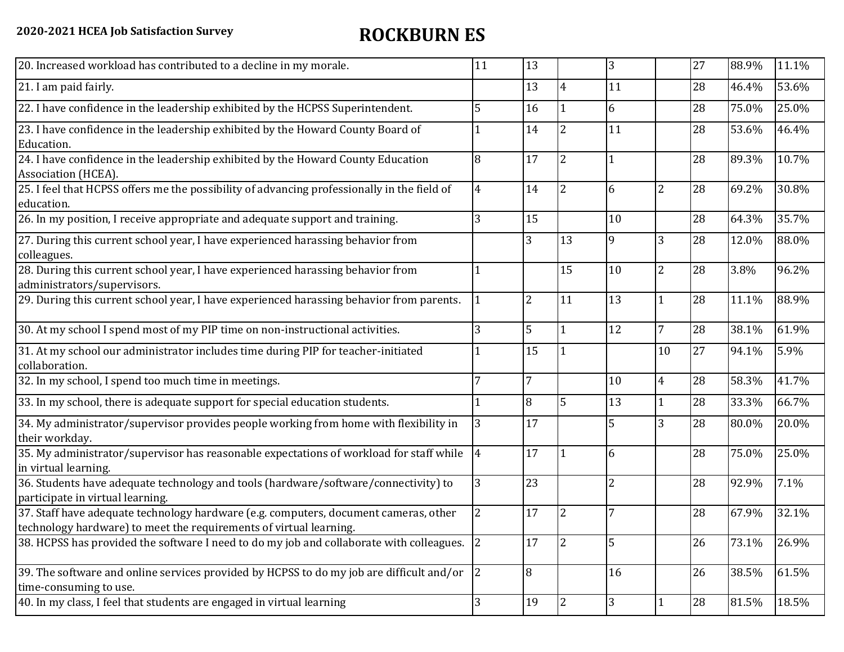| 20. Increased workload has contributed to a decline in my morale.                                                                                          | 11             | 13             |                | 3              |                | 27 | 88.9% | 11.1% |
|------------------------------------------------------------------------------------------------------------------------------------------------------------|----------------|----------------|----------------|----------------|----------------|----|-------|-------|
| 21. I am paid fairly.                                                                                                                                      |                | 13             | 4              | 11             |                | 28 | 46.4% | 53.6% |
| 22. I have confidence in the leadership exhibited by the HCPSS Superintendent.                                                                             | 5              | 16             |                | 6              |                | 28 | 75.0% | 25.0% |
| 23. I have confidence in the leadership exhibited by the Howard County Board of<br>Education.                                                              |                | 14             | $\overline{2}$ | 11             |                | 28 | 53.6% | 46.4% |
| 24. I have confidence in the leadership exhibited by the Howard County Education<br>Association (HCEA).                                                    | 8              | 17             | 2              | $\mathbf{1}$   |                | 28 | 89.3% | 10.7% |
| 25. I feel that HCPSS offers me the possibility of advancing professionally in the field of<br>education.                                                  | 4              | 14             | $\overline{2}$ | 6              | 2              | 28 | 69.2% | 30.8% |
| 26. In my position, I receive appropriate and adequate support and training.                                                                               | 3              | 15             |                | 10             |                | 28 | 64.3% | 35.7% |
| 27. During this current school year, I have experienced harassing behavior from<br>colleagues.                                                             |                | 3              | 13             | 9              | 3              | 28 | 12.0% | 88.0% |
| 28. During this current school year, I have experienced harassing behavior from<br>administrators/supervisors.                                             |                |                | 15             | 10             | $\overline{2}$ | 28 | 3.8%  | 96.2% |
| 29. During this current school year, I have experienced harassing behavior from parents.                                                                   |                | $\overline{2}$ | 11             | 13             | $\mathbf{1}$   | 28 | 11.1% | 88.9% |
| 30. At my school I spend most of my PIP time on non-instructional activities.                                                                              | 3              | 5              |                | 12             | 7              | 28 | 38.1% | 61.9% |
| 31. At my school our administrator includes time during PIP for teacher-initiated<br>collaboration.                                                        |                | 15             |                |                | 10             | 27 | 94.1% | 5.9%  |
| 32. In my school, I spend too much time in meetings.                                                                                                       | 7              | $\overline{7}$ |                | 10             | $\overline{4}$ | 28 | 58.3% | 41.7% |
| 33. In my school, there is adequate support for special education students.                                                                                |                | 8              | 5              | 13             | $\mathbf{1}$   | 28 | 33.3% | 66.7% |
| 34. My administrator/supervisor provides people working from home with flexibility in<br>their workday.                                                    | 3              | 17             |                | 5              | 3              | 28 | 80.0% | 20.0% |
| 35. My administrator/supervisor has reasonable expectations of workload for staff while<br>in virtual learning.                                            | $\overline{4}$ | 17             |                | 6              |                | 28 | 75.0% | 25.0% |
| 36. Students have adequate technology and tools (hardware/software/connectivity) to<br>participate in virtual learning.                                    | 3              | 23             |                | $\overline{2}$ |                | 28 | 92.9% | 7.1%  |
| 37. Staff have adequate technology hardware (e.g. computers, document cameras, other<br>technology hardware) to meet the requirements of virtual learning. | 2              | 17             | 2              |                |                | 28 | 67.9% | 32.1% |
| 38. HCPSS has provided the software I need to do my job and collaborate with colleagues.                                                                   | $\overline{2}$ | 17             | 2              | 5              |                | 26 | 73.1% | 26.9% |
| 39. The software and online services provided by HCPSS to do my job are difficult and/or<br>time-consuming to use.                                         | 2              | $\overline{8}$ |                | 16             |                | 26 | 38.5% | 61.5% |
| 40. In my class, I feel that students are engaged in virtual learning                                                                                      | 3              | 19             | $\overline{2}$ | $\overline{3}$ | $\mathbf{1}$   | 28 | 81.5% | 18.5% |
|                                                                                                                                                            |                |                |                |                |                |    |       |       |